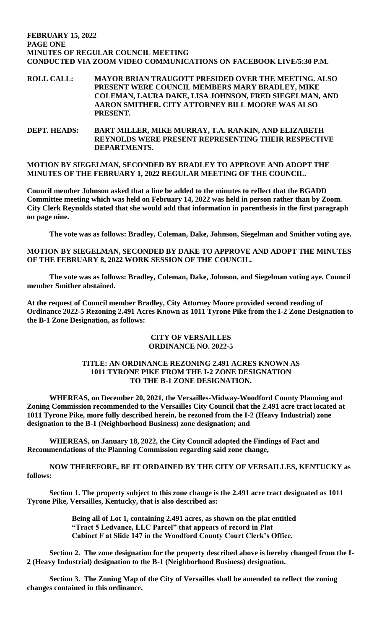#### **FEBRUARY 15, 2022 PAGE ONE MINUTES OF REGULAR COUNCIL MEETING CONDUCTED VIA ZOOM VIDEO COMMUNICATIONS ON FACEBOOK LIVE/5:30 P.M.**

**ROLL CALL: MAYOR BRIAN TRAUGOTT PRESIDED OVER THE MEETING. ALSO PRESENT WERE COUNCIL MEMBERS MARY BRADLEY, MIKE COLEMAN, LAURA DAKE, LISA JOHNSON, FRED SIEGELMAN, AND AARON SMITHER. CITY ATTORNEY BILL MOORE WAS ALSO PRESENT.**

**DEPT. HEADS: BART MILLER, MIKE MURRAY, T.A. RANKIN, AND ELIZABETH REYNOLDS WERE PRESENT REPRESENTING THEIR RESPECTIVE DEPARTMENTS.** 

**MOTION BY SIEGELMAN, SECONDED BY BRADLEY TO APPROVE AND ADOPT THE MINUTES OF THE FEBRUARY 1, 2022 REGULAR MEETING OF THE COUNCIL.**

**Council member Johnson asked that a line be added to the minutes to reflect that the BGADD Committee meeting which was held on February 14, 2022 was held in person rather than by Zoom. City Clerk Reynolds stated that she would add that information in parenthesis in the first paragraph on page nine.** 

**The vote was as follows: Bradley, Coleman, Dake, Johnson, Siegelman and Smither voting aye.**

**MOTION BY SIEGELMAN, SECONDED BY DAKE TO APPROVE AND ADOPT THE MINUTES OF THE FEBRUARY 8, 2022 WORK SESSION OF THE COUNCIL.** 

**The vote was as follows: Bradley, Coleman, Dake, Johnson, and Siegelman voting aye. Council member Smither abstained.** 

**At the request of Council member Bradley, City Attorney Moore provided second reading of Ordinance 2022-5 Rezoning 2.491 Acres Known as 1011 Tyrone Pike from the I-2 Zone Designation to the B-1 Zone Designation, as follows:**

## **CITY OF VERSAILLES ORDINANCE NO. 2022-5**

## **TITLE: AN ORDINANCE REZONING 2.491 ACRES KNOWN AS 1011 TYRONE PIKE FROM THE I-2 ZONE DESIGNATION TO THE B-1 ZONE DESIGNATION.**

**WHEREAS, on December 20, 2021, the Versailles-Midway-Woodford County Planning and Zoning Commission recommended to the Versailles City Council that the 2.491 acre tract located at 1011 Tyrone Pike, more fully described herein, be rezoned from the I-2 (Heavy Industrial) zone designation to the B-1 (Neighborhood Business) zone designation; and**

**WHEREAS, on January 18, 2022, the City Council adopted the Findings of Fact and Recommendations of the Planning Commission regarding said zone change,**

**NOW THEREFORE, BE IT ORDAINED BY THE CITY OF VERSAILLES, KENTUCKY as follows:**

**Section 1. The property subject to this zone change is the 2.491 acre tract designated as 1011 Tyrone Pike, Versailles, Kentucky, that is also described as:**

> **Being all of Lot 1, containing 2.491 acres, as shown on the plat entitled "Tract 5 Ledvance, LLC Parcel" that appears of record in Plat Cabinet F at Slide 147 in the Woodford County Court Clerk's Office.**

**Section 2. The zone designation for the property described above is hereby changed from the I-2 (Heavy Industrial) designation to the B-1 (Neighborhood Business) designation.**

**Section 3. The Zoning Map of the City of Versailles shall be amended to reflect the zoning changes contained in this ordinance.**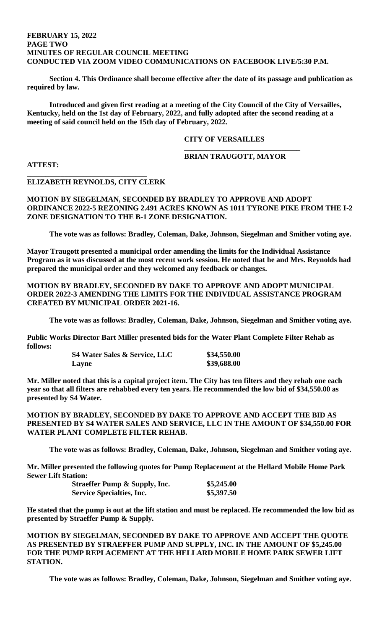### **FEBRUARY 15, 2022 PAGE TWO MINUTES OF REGULAR COUNCIL MEETING CONDUCTED VIA ZOOM VIDEO COMMUNICATIONS ON FACEBOOK LIVE/5:30 P.M.**

**Section 4. This Ordinance shall become effective after the date of its passage and publication as required by law.**

**Introduced and given first reading at a meeting of the City Council of the City of Versailles, Kentucky, held on the 1st day of February, 2022, and fully adopted after the second reading at a meeting of said council held on the 15th day of February, 2022.**

# **CITY OF VERSAILLES**

# **BRIAN TRAUGOTT, MAYOR**

**\_\_\_\_\_\_\_\_\_\_\_\_\_\_\_\_\_\_\_\_\_\_\_\_\_\_\_\_\_\_\_**

**ATTEST:**

## **ELIZABETH REYNOLDS, CITY CLERK**

**\_\_\_\_\_\_\_\_\_\_\_\_\_\_\_\_\_\_\_\_\_\_\_\_\_\_\_\_\_\_\_\_**

**MOTION BY SIEGELMAN, SECONDED BY BRADLEY TO APPROVE AND ADOPT ORDINANCE 2022-5 REZONING 2.491 ACRES KNOWN AS 1011 TYRONE PIKE FROM THE I-2 ZONE DESIGNATION TO THE B-1 ZONE DESIGNATION.** 

**The vote was as follows: Bradley, Coleman, Dake, Johnson, Siegelman and Smither voting aye.** 

**Mayor Traugott presented a municipal order amending the limits for the Individual Assistance Program as it was discussed at the most recent work session. He noted that he and Mrs. Reynolds had prepared the municipal order and they welcomed any feedback or changes.** 

**MOTION BY BRADLEY, SECONDED BY DAKE TO APPROVE AND ADOPT MUNICIPAL ORDER 2022-3 AMENDING THE LIMITS FOR THE INDIVIDUAL ASSISTANCE PROGRAM CREATED BY MUNICIPAL ORDER 2021-16.** 

**The vote was as follows: Bradley, Coleman, Dake, Johnson, Siegelman and Smither voting aye.** 

**Public Works Director Bart Miller presented bids for the Water Plant Complete Filter Rehab as follows:**

> **S4 Water Sales & Service, LLC \$34,550.00 Layne \$39,688.00**

**Mr. Miller noted that this is a capital project item. The City has ten filters and they rehab one each year so that all filters are rehabbed every ten years. He recommended the low bid of \$34,550.00 as presented by S4 Water.** 

**MOTION BY BRADLEY, SECONDED BY DAKE TO APPROVE AND ACCEPT THE BID AS PRESENTED BY S4 WATER SALES AND SERVICE, LLC IN THE AMOUNT OF \$34,550.00 FOR WATER PLANT COMPLETE FILTER REHAB.** 

**The vote was as follows: Bradley, Coleman, Dake, Johnson, Siegelman and Smither voting aye.** 

**Mr. Miller presented the following quotes for Pump Replacement at the Hellard Mobile Home Park Sewer Lift Station:**

| <b>Straeffer Pump &amp; Supply, Inc.</b> | \$5,245.00 |
|------------------------------------------|------------|
| <b>Service Specialties, Inc.</b>         | \$5,397.50 |

**He stated that the pump is out at the lift station and must be replaced. He recommended the low bid as presented by Straeffer Pump & Supply.** 

**MOTION BY SIEGELMAN, SECONDED BY DAKE TO APPROVE AND ACCEPT THE QUOTE AS PRESENTED BY STRAEFFER PUMP AND SUPPLY, INC. IN THE AMOUNT OF \$5,245.00 FOR THE PUMP REPLACEMENT AT THE HELLARD MOBILE HOME PARK SEWER LIFT STATION.** 

**The vote was as follows: Bradley, Coleman, Dake, Johnson, Siegelman and Smither voting aye.**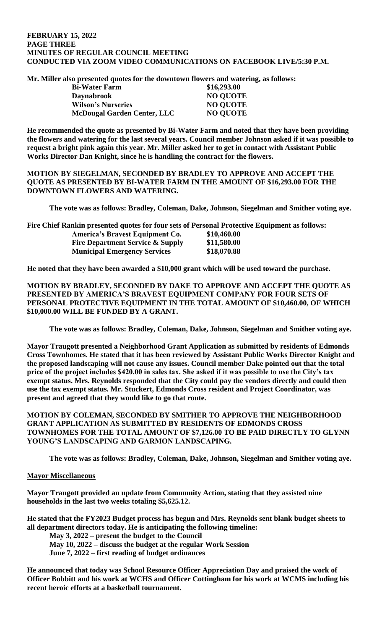### **FEBRUARY 15, 2022 PAGE THREE MINUTES OF REGULAR COUNCIL MEETING CONDUCTED VIA ZOOM VIDEO COMMUNICATIONS ON FACEBOOK LIVE/5:30 P.M.**

**Mr. Miller also presented quotes for the downtown flowers and watering, as follows:**

| <b>Bi-Water Farm</b>               | \$16,293.00     |
|------------------------------------|-----------------|
| <b>Daynabrook</b>                  | <b>NO QUOTE</b> |
| <b>Wilson's Nurseries</b>          | <b>NO QUOTE</b> |
| <b>McDougal Garden Center, LLC</b> | <b>NO QUOTE</b> |

**He recommended the quote as presented by Bi-Water Farm and noted that they have been providing the flowers and watering for the last several years. Council member Johnson asked if it was possible to request a bright pink again this year. Mr. Miller asked her to get in contact with Assistant Public Works Director Dan Knight, since he is handling the contract for the flowers.** 

**MOTION BY SIEGELMAN, SECONDED BY BRADLEY TO APPROVE AND ACCEPT THE QUOTE AS PRESENTED BY BI-WATER FARM IN THE AMOUNT OF \$16,293.00 FOR THE DOWNTOWN FLOWERS AND WATERING.** 

**The vote was as follows: Bradley, Coleman, Dake, Johnson, Siegelman and Smither voting aye.** 

**Fire Chief Rankin presented quotes for four sets of Personal Protective Equipment as follows: America's Bravest Equipment Co. \$10,460.00 Fire Department Service & Supply \$11,580.00 Municipal Emergency Services \$18,070.88**

**He noted that they have been awarded a \$10,000 grant which will be used toward the purchase.** 

**MOTION BY BRADLEY, SECONDED BY DAKE TO APPROVE AND ACCEPT THE QUOTE AS PRESENTED BY AMERICA'S BRAVEST EQUIPMENT COMPANY FOR FOUR SETS OF PERSONAL PROTECTIVE EQUIPMENT IN THE TOTAL AMOUNT OF \$10,460.00, OF WHICH \$10,000.00 WILL BE FUNDED BY A GRANT.** 

**The vote was as follows: Bradley, Coleman, Dake, Johnson, Siegelman and Smither voting aye.** 

**Mayor Traugott presented a Neighborhood Grant Application as submitted by residents of Edmonds Cross Townhomes. He stated that it has been reviewed by Assistant Public Works Director Knight and the proposed landscaping will not cause any issues. Council member Dake pointed out that the total price of the project includes \$420.00 in sales tax. She asked if it was possible to use the City's tax exempt status. Mrs. Reynolds responded that the City could pay the vendors directly and could then use the tax exempt status. Mr. Stuckert, Edmonds Cross resident and Project Coordinator, was present and agreed that they would like to go that route.** 

**MOTION BY COLEMAN, SECONDED BY SMITHER TO APPROVE THE NEIGHBORHOOD GRANT APPLICATION AS SUBMITTED BY RESIDENTS OF EDMONDS CROSS TOWNHOMES FOR THE TOTAL AMOUNT OF \$7,126.00 TO BE PAID DIRECTLY TO GLYNN YOUNG'S LANDSCAPING AND GARMON LANDSCAPING.** 

**The vote was as follows: Bradley, Coleman, Dake, Johnson, Siegelman and Smither voting aye.** 

# **Mayor Miscellaneous**

**Mayor Traugott provided an update from Community Action, stating that they assisted nine households in the last two weeks totaling \$5,625.12.** 

**He stated that the FY2023 Budget process has begun and Mrs. Reynolds sent blank budget sheets to all department directors today. He is anticipating the following timeline:**

**May 3, 2022 – present the budget to the Council May 10, 2022 – discuss the budget at the regular Work Session June 7, 2022 – first reading of budget ordinances**

**He announced that today was School Resource Officer Appreciation Day and praised the work of Officer Bobbitt and his work at WCHS and Officer Cottingham for his work at WCMS including his recent heroic efforts at a basketball tournament.**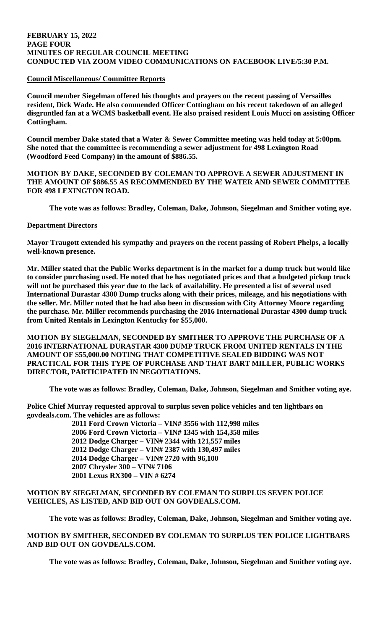### **FEBRUARY 15, 2022 PAGE FOUR MINUTES OF REGULAR COUNCIL MEETING CONDUCTED VIA ZOOM VIDEO COMMUNICATIONS ON FACEBOOK LIVE/5:30 P.M.**

# **Council Miscellaneous/ Committee Reports**

**Council member Siegelman offered his thoughts and prayers on the recent passing of Versailles resident, Dick Wade. He also commended Officer Cottingham on his recent takedown of an alleged disgruntled fan at a WCMS basketball event. He also praised resident Louis Mucci on assisting Officer Cottingham.** 

**Council member Dake stated that a Water & Sewer Committee meeting was held today at 5:00pm. She noted that the committee is recommending a sewer adjustment for 498 Lexington Road (Woodford Feed Company) in the amount of \$886.55.** 

**MOTION BY DAKE, SECONDED BY COLEMAN TO APPROVE A SEWER ADJUSTMENT IN THE AMOUNT OF \$886.55 AS RECOMMENDED BY THE WATER AND SEWER COMMITTEE FOR 498 LEXINGTON ROAD.** 

**The vote was as follows: Bradley, Coleman, Dake, Johnson, Siegelman and Smither voting aye.** 

## **Department Directors**

**Mayor Traugott extended his sympathy and prayers on the recent passing of Robert Phelps, a locally well-known presence.** 

**Mr. Miller stated that the Public Works department is in the market for a dump truck but would like to consider purchasing used. He noted that he has negotiated prices and that a budgeted pickup truck will not be purchased this year due to the lack of availability. He presented a list of several used International Durastar 4300 Dump trucks along with their prices, mileage, and his negotiations with the seller. Mr. Miller noted that he had also been in discussion with City Attorney Moore regarding the purchase. Mr. Miller recommends purchasing the 2016 International Durastar 4300 dump truck from United Rentals in Lexington Kentucky for \$55,000.** 

**MOTION BY SIEGELMAN, SECONDED BY SMITHER TO APPROVE THE PURCHASE OF A 2016 INTERNATIONAL DURASTAR 4300 DUMP TRUCK FROM UNITED RENTALS IN THE AMOUNT OF \$55,000.00 NOTING THAT COMPETITIVE SEALED BIDDING WAS NOT PRACTICAL FOR THIS TYPE OF PURCHASE AND THAT BART MILLER, PUBLIC WORKS DIRECTOR, PARTICIPATED IN NEGOTIATIONS.** 

**The vote was as follows: Bradley, Coleman, Dake, Johnson, Siegelman and Smither voting aye.** 

**Police Chief Murray requested approval to surplus seven police vehicles and ten lightbars on govdeals.com. The vehicles are as follows:**

**2011 Ford Crown Victoria – VIN# 3556 with 112,998 miles 2006 Ford Crown Victoria – VIN# 1345 with 154,358 miles 2012 Dodge Charger – VIN# 2344 with 121,557 miles 2012 Dodge Charger – VIN# 2387 with 130,497 miles 2014 Dodge Charger – VIN# 2720 with 96,100 2007 Chrysler 300 – VIN# 7106 2001 Lexus RX300 – VIN # 6274**

# **MOTION BY SIEGELMAN, SECONDED BY COLEMAN TO SURPLUS SEVEN POLICE VEHICLES, AS LISTED, AND BID OUT ON GOVDEALS.COM.**

**The vote was as follows: Bradley, Coleman, Dake, Johnson, Siegelman and Smither voting aye.** 

# **MOTION BY SMITHER, SECONDED BY COLEMAN TO SURPLUS TEN POLICE LIGHTBARS AND BID OUT ON GOVDEALS.COM.**

**The vote was as follows: Bradley, Coleman, Dake, Johnson, Siegelman and Smither voting aye.**